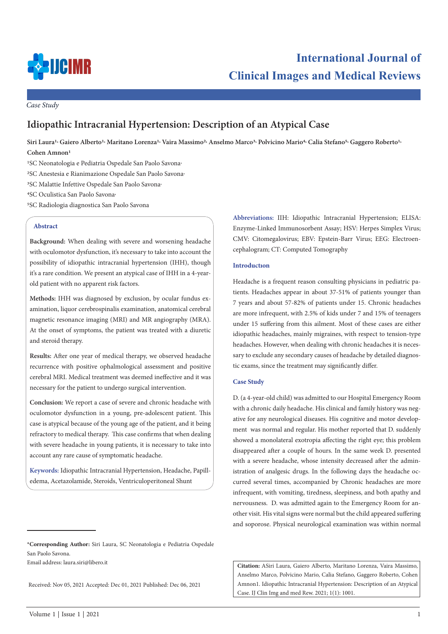

*Case Study*

# **Idiopathic Intracranial Hypertension: Description of an Atypical Case**

**Siri Laura1, Gaiero Alberto1, Maritano Lorenza1, Vaira Massimo2, Anselmo Marco3, Polvicino Mario4, Calia Stefano5, Gaggero Roberto1, Cohen Amnon1** 

<sup>1</sup>SC Neonatologia e Pediatria Ospedale San Paolo Savona<sup>,</sup>

- <sup>2</sup>SC Anestesia e Rianimazione Ospedale San Paolo Savona<sup>,</sup>
- 3SC Malattie Infettive Ospedale San Paolo Savona,

4SC Oculistica San Paolo Savona,

5SC Radiologia diagnostica San Paolo Savona

## **Abstract**

**Background:** When dealing with severe and worsening headache with oculomotor dysfunction, it's necessary to take into account the possibility of idiopathic intracranial hypertension (IHH), though it's a rare condition. We present an atypical case of IHH in a 4-yearold patient with no apparent risk factors.

**Methods:** IHH was diagnosed by exclusion, by ocular fundus examination, liquor cerebrospinalis examination, anatomical cerebral magnetic resonance imaging (MRI) and MR angiography (MRA). At the onset of symptoms, the patient was treated with a diuretic and steroid therapy.

**Results:** After one year of medical therapy, we observed headache recurrence with positive ophalmological assessment and positive cerebral MRI. Medical treatment was deemed ineffective and it was necessary for the patient to undergo surgical intervention.

**Conclusion:** We report a case of severe and chronic headache with oculomotor dysfunction in a young, pre-adolescent patient. This case is atypical because of the young age of the patient, and it being refractory to medical therapy. This case confirms that when dealing with severe headache in young patients, it is necessary to take into account any rare cause of symptomatic headache.

**Keywords:** Idiopathic Intracranial Hypertension, Headache, Papilledema, Acetazolamide, Steroids, Ventriculoperitoneal Shunt

**\*Corresponding Author:** Siri Laura, SC Neonatologia e Pediatria Ospedale San Paolo Savona.

Email address: laura.siri@libero.it

Received: Nov 05, 2021 Accepted: Dec 01, 2021 Published: Dec 06, 2021

**Abbreviations:** IIH: Idiopathic Intracranial Hypertension; ELISA: Enzyme-Linked Immunosorbent Assay; HSV: Herpes Simplex Virus; CMV: Citomegalovirus; EBV: Epstein-Barr Virus; EEG: Electroencephalogram; CT: Computed Tomography

#### **Introductıon**

Headache is a frequent reason consulting physicians in pediatric patients. Headaches appear in about 37-51% of patients younger than 7 years and about 57-82% of patients under 15. Chronic headaches are more infrequent, with 2.5% of kids under 7 and 15% of teenagers under 15 suffering from this ailment. Most of these cases are either idiopathic headaches, mainly migraines, with respect to tension-type headaches. However, when dealing with chronic headaches it is necessary to exclude any secondary causes of headache by detailed diagnostic exams, since the treatment may significantly differ.

## **Case Study**

D. (a 4-year-old child) was admitted to our Hospital Emergency Room with a chronic daily headache. His clinical and family history was negative for any neurological diseases. His cognitive and motor development was normal and regular. His mother reported that D. suddenly showed a monolateral exotropia affecting the right eye; this problem disappeared after a couple of hours. In the same week D. presented with a severe headache, whose intensity decreased after the administration of analgesic drugs. In the following days the headache occurred several times, accompanied by Chronic headaches are more infrequent, with vomiting, tiredness, sleepiness, and both apathy and nervousness. D. was admitted again to the Emergency Room for another visit. His vital signs were normal but the child appeared suffering and soporose. Physical neurological examination was within normal

**Citation:** ASiri Laura, Gaiero Alberto, Maritano Lorenza, Vaira Massimo, Anselmo Marco, Polvicino Mario, Calia Stefano, Gaggero Roberto, Cohen Amnon1. Idiopathic Intracranial Hypertension: Description of an Atypical Case. IJ Clin Img and med Rew. 2021; 1(1): 1001.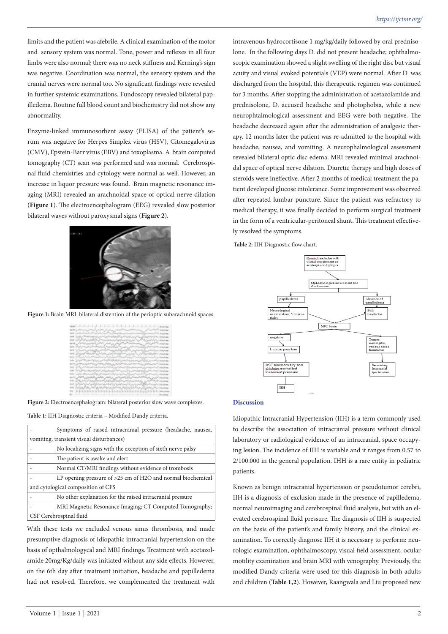limits and the patient was afebrile. A clinical examination of the motor and sensory system was normal. Tone, power and reflexes in all four limbs were also normal; there was no neck stiffness and Kerning's sign was negative. Coordination was normal, the sensory system and the cranial nerves were normal too. No significant findings were revealed in further systemic examinations. Fundoscopy revealed bilateral papilledema. Routine full blood count and biochemistry did not show any abnormality.

Enzyme-linked immunosorbent assay (ELISA) of the patient's serum was negative for Herpes Simplex virus (HSV), Citomegalovirus (CMV), Epstein-Barr virus (EBV) and toxoplasma. A brain computed tomography (CT) scan was performed and was normal. Cerebrospinal fluid chemistries and cytology were normal as well. However, an increase in liquor pressure was found. Brain magnetic resonance imaging (MRI) revealed an arachnoidal space of optical nerve dilation (**Figure 1**). The electroencephalogram (EEG) revealed slow posterior bilateral waves without paroxysmal signs (**Figure 2**).



**Figure 1:** Brain MRI: bilateral distention of the perioptic subarachnoid spaces.

|  | րցը խոհանակակայն անձանայն, վայկայն, մասնական անձանական շրջարդ                                                        |                   |
|--|----------------------------------------------------------------------------------------------------------------------|-------------------|
|  | ووالمولاة أسماله مساكيون ويستدامه المتواصل ويتمام المراكب المصالح أمرادا المورد والمستوقف                            |                   |
|  | last production of the secretary of the funeration interest or access to secretary of the company                    |                   |
|  | ووعيوها بخواجزه والجهار أيي براسيس اوتتر الحوالي والمعارف والمستعين ليولوه بالمصالح والمرتفين                        |                   |
|  | MAX NOW A WARRENT TO CONTRACT AND WORKS OF THE SCALARY COMMON                                                        |                   |
|  | فالمقاولات المستبشر والمراكب المستعصر والمستعيث المتمامي التوافر بالمراكب المتاس أنتجاهم والمنافرات والمتالية        |                   |
|  | 1961 - Yark Handburk al Kalendard, Patent Cand, S. Jackson, Schlass Candler, and Candidates, associates              |                   |
|  | معتموه وو اسمرات التربي وكار كاستمتروهي الكوارسي والأوسي وبالأمر الأنبية المعارفي المعروفي التمييز الإعلا            |                   |
|  | na Saat had was a sa marayan was Newton man                                                                          |                   |
|  | their collection of the photograph of the photograph and approximately and the                                       |                   |
|  | Cade ) والمحدث الموالي المدرجة الموالية المستعدد الموالية الموالية الموالية الموالي الموالي المستعدد الموالي الموالي |                   |
|  | Contraction (المستعملين المستعملين المستعملين المستعملين المستعملين المستعملين المستعملين المستعملين المستعملين      |                   |
|  | they to the strain at an artistic of the strain the strain and a strain and only the                                 |                   |
|  | can be almost and his construction and the associate and particular that states                                      |                   |
|  |                                                                                                                      |                   |
|  | asist أسترومهم بإثر ومحاليس المدونة المحور الأدوالمصورة كبيس بتو تتصافر روحا ومنها الصادع إدر المصالحي بالأدوا       |                   |
|  | 1919 Which is a control and the control of the control of the control of the control of the control of the control   |                   |
|  | the subscription of the content of the content of the content                                                        |                   |
|  | these Suchen Path Path at the Most popular Section State Control of the Control of the Control of the                |                   |
|  |                                                                                                                      |                   |
|  |                                                                                                                      | control Biballian |

**Figure 2:** Electroencephalogram: bilateral posterior slow wave complexes.

**Table 1:** IIH Diagnostic criteria – Modified Dandy criteria.

|                                          | Symptoms of raised intracranial pressure (headache, nausea,   |  |  |
|------------------------------------------|---------------------------------------------------------------|--|--|
| vomiting, transient visual disturbances) |                                                               |  |  |
|                                          | No localizing signs with the exception of sixth nerve palsy   |  |  |
|                                          | The patient is awake and alert                                |  |  |
|                                          | Normal CT/MRI findings without evidence of trombosis          |  |  |
|                                          | LP opening pressure of $>25$ cm of H2O and normal biochemical |  |  |
| and cytological composition of CFS       |                                                               |  |  |
|                                          | No other explanation for the raised intracranial pressure     |  |  |
|                                          | MRI Magnetic Resonance Imaging; CT Computed Tomography;       |  |  |
| CSF Cerebrospinal fluid                  |                                                               |  |  |

With these tests we excluded venous sinus thrombosis, and made presumptive diagnosis of idiopathic intracranial hypertension on the basis of opthalmologycal and MRI findings. Treatment with acetazolamide 20mg/Kg/daily was initiated without any side effects. However, on the 6th day after treatment initiation, headache and papilledema had not resolved. Therefore, we complemented the treatment with

intravenous hydrocortisone 1 mg/kg/daily followed by oral prednisolone. In the following days D. did not present headache; ophthalmoscopic examination showed a slight swelling of the right disc but visual acuity and visual evoked potentials (VEP) were normal. After D. was discharged from the hospital, this therapeutic regimen was continued for 3 months. After stopping the administration of acetazolamide and prednisolone, D. accused headache and photophobia, while a new neurophtalmological assessment and EEG were both negative. The headache decreased again after the administration of analgesic therapy. 12 months later the patient was re-admitted to the hospital with headache, nausea, and vomiting. A neurophalmological assessment revealed bilateral optic disc edema. MRI revealed minimal arachnoidal space of optical nerve dilation. Diuretic therapy and high doses of steroids were ineffective. After 2 months of medical treatment the patient developed glucose intolerance. Some improvement was observed after repeated lumbar puncture. Since the patient was refractory to medical therapy, it was finally decided to perform surgical treatment in the form of a ventricular-peritoneal shunt. This treatment effectively resolved the symptoms.

**Table 2:** IIH Diagnostic flow chart.



#### **Discussion**

Idiopathic Intracranial Hypertension (IIH) is a term commonly used to describe the association of intracranial pressure without clinical laboratory or radiological evidence of an intracranial, space occupying lesion. The incidence of IIH is variable and it ranges from 0.57 to 2/100.000 in the general population. IHH is a rare entity in pediatric patients.

Known as benign intracranial hypertension or pseudotumor cerebri, IIH is a diagnosis of exclusion made in the presence of papilledema, normal neuroimaging and cerebrospinal fluid analysis, but with an elevated cerebrospinal fluid pressure. The diagnosis of IIH is suspected on the basis of the patient's and family history, and the clinical examination. To correctly diagnose IIH it is necessary to perform: neurologic examination, ophthalmoscopy, visual field assessment, ocular motility examination and brain MRI with venography. Previously, the modified Dandy criteria were used for this diagnosis in both adults and children (**Table 1,2**). However, Raangwala and Liu proposed new